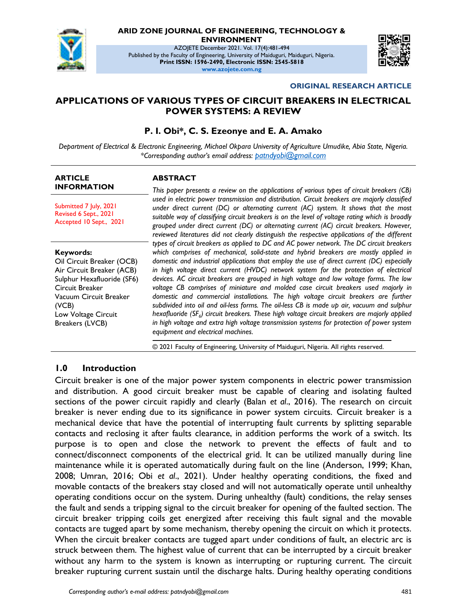

# **ARID ZONE JOURNAL OF ENGINEERING, TECHNOLOGY &**

**ENVIRONMENT**

AZOJETE December 2021. Vol. 17(4):481-494 Published by the Faculty of Engineering, University of Maiduguri, Maiduguri, Nigeria. **Print ISSN: 1596-2490, Electronic ISSN: 2545-5818 www.azojete.com.ng**



#### **ORIGINAL RESEARCH ARTICLE**

#### **APPLICATIONS OF VARIOUS TYPES OF CIRCUIT BREAKERS IN ELECTRICAL POWER SYSTEMS: A REVIEW**

#### **P. I. Obi\*, C. S. Ezeonye and E. A. Amako**

*Department of Electrical & Electronic Engineering, Michael Okpara University of Agriculture Umudike, Abia State, Nigeria. \*Corresponding author's email address: [patndyobi@gmail.com](file:///C:/Users/USER/Desktop/azojete/AZOJETE%20ARCHIVE/UPLOAD/VOL%2017%20NO%204/patndyobi@gmail.com)*

#### **ARTICLE INFORMATION**

Submitted 7 July, 2021 Revised 6 Sept., 2021 Accepted 10 Sept., 2021

#### **Keywords:**

Oil Circuit Breaker (OCB) Air Circuit Breaker (ACB) Sulphur Hexafluoride (SF6) Circuit Breaker Vacuum Circuit Breaker (VCB) Low Voltage Circuit Breakers (LVCB)

#### **ABSTRACT**

*This paper presents a review on the applications of various types of circuit breakers (CB) used in electric power transmission and distribution. Circuit breakers are majorly classified under direct current (DC) or alternating current (AC) system. It shows that the most suitable way of classifying circuit breakers is on the level of voltage rating which is broadly grouped under direct current (DC) or alternating current (AC) circuit breakers. However, reviewed literatures did not clearly distinguish the respective applications of the different types of circuit breakers as applied to DC and AC power network. The DC circuit breakers which comprises of mechanical, solid-state and hybrid breakers are mostly applied in domestic and industrial applications that employ the use of direct current (DC) especially*  in high voltage direct current (HVDC) network system for the protection of electrical *devices. AC circuit breakers are grouped in high voltage and low voltage forms. The low voltage CB comprises of miniature and molded case circuit breakers used majorly in domestic and commercial installations. The high voltage circuit breakers are further subdivided into oil and oil-less forms. The oil-less CB is made up air, vacuum and sulphur hexafluoride (SF<sup>6</sup> ) circuit breakers. These high voltage circuit breakers are majorly applied in high voltage and extra high voltage transmission systems for protection of power system equipment and electrical machines.*

© 2021 Faculty of Engineering, University of Maiduguri, Nigeria. All rights reserved.

### **1.0 Introduction**

Circuit breaker is one of the major power system components in electric power transmission and distribution. A good circuit breaker must be capable of clearing and isolating faulted sections of the power circuit rapidly and clearly (Balan *et al*., 2016). The research on circuit breaker is never ending due to its significance in power system circuits. Circuit breaker is a mechanical device that have the potential of interrupting fault currents by splitting separable contacts and reclosing it after faults clearance, in addition performs the work of a switch. Its purpose is to open and close the network to prevent the effects of fault and to connect/disconnect components of the electrical grid. It can be utilized manually during line maintenance while it is operated automatically during fault on the line (Anderson, 1999; Khan, 2008; Umran, 2016; Obi *et al*., 2021). Under healthy operating conditions, the fixed and movable contacts of the breakers stay closed and will not automatically operate until unhealthy operating conditions occur on the system. During unhealthy (fault) conditions, the relay senses the fault and sends a tripping signal to the circuit breaker for opening of the faulted section. The circuit breaker tripping coils get energized after receiving this fault signal and the movable contacts are tugged apart by some mechanism, thereby opening the circuit on which it protects. When the circuit breaker contacts are tugged apart under conditions of fault, an electric arc is struck between them. The highest value of current that can be interrupted by a circuit breaker without any harm to the system is known as interrupting or rupturing current. The circuit breaker rupturing current sustain until the discharge halts. During healthy operating conditions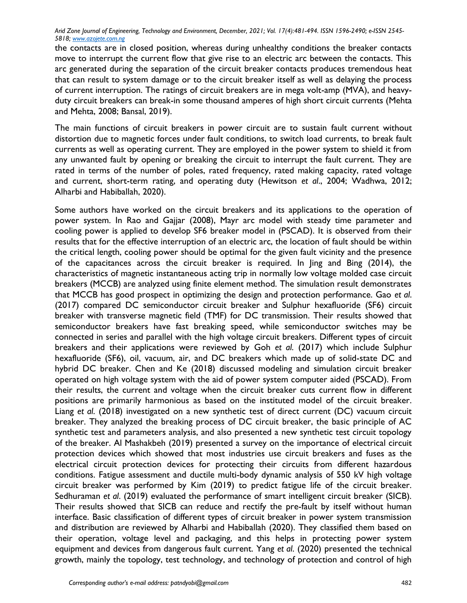the contacts are in closed position, whereas during unhealthy conditions the breaker contacts move to interrupt the current flow that give rise to an electric arc between the contacts. This arc generated during the separation of the circuit breaker contacts produces tremendous heat that can result to system damage or to the circuit breaker itself as well as delaying the process of current interruption. The ratings of circuit breakers are in mega volt-amp (MVA), and heavyduty circuit breakers can break-in some thousand amperes of high short circuit currents (Mehta and Mehta, 2008; Bansal, 2019).

The main functions of circuit breakers in power circuit are to sustain fault current without distortion due to magnetic forces under fault conditions, to switch load currents, to break fault currents as well as operating current. They are employed in the power system to shield it from any unwanted fault by opening or breaking the circuit to interrupt the fault current. They are rated in terms of the number of poles, rated frequency, rated making capacity, rated voltage and current, short-term rating, and operating duty (Hewitson *et al*., 2004; Wadhwa, 2012; Alharbi and Habiballah, 2020).

Some authors have worked on the circuit breakers and its applications to the operation of power system. In Rao and Gajjar (2008), Mayr arc model with steady time parameter and cooling power is applied to develop SF6 breaker model in (PSCAD). It is observed from their results that for the effective interruption of an electric arc, the location of fault should be within the critical length, cooling power should be optimal for the given fault vicinity and the presence of the capacitances across the circuit breaker is required. In Jing and Bing (2014), the characteristics of magnetic instantaneous acting trip in normally low voltage molded case circuit breakers (MCCB) are analyzed using finite element method. The simulation result demonstrates that MCCB has good prospect in optimizing the design and protection performance. Gao *et al*. (2017) compared DC semiconductor circuit breaker and Sulphur hexafluoride (SF6) circuit breaker with transverse magnetic field (TMF) for DC transmission. Their results showed that semiconductor breakers have fast breaking speed, while semiconductor switches may be connected in series and parallel with the high voltage circuit breakers. Different types of circuit breakers and their applications were reviewed by Goh *et al*. (2017) which include Sulphur hexafluoride (SF6), oil, vacuum, air, and DC breakers which made up of solid-state DC and hybrid DC breaker. Chen and Ke (2018) discussed modeling and simulation circuit breaker operated on high voltage system with the aid of power system computer aided (PSCAD). From their results, the current and voltage when the circuit breaker cuts current flow in different positions are primarily harmonious as based on the instituted model of the circuit breaker. Liang *et al*. (2018) investigated on a new synthetic test of direct current (DC) vacuum circuit breaker. They analyzed the breaking process of DC circuit breaker, the basic principle of AC synthetic test and parameters analysis, and also presented a new synthetic test circuit topology of the breaker. Al Mashakbeh (2019) presented a survey on the importance of electrical circuit protection devices which showed that most industries use circuit breakers and fuses as the electrical circuit protection devices for protecting their circuits from different hazardous conditions. Fatigue assessment and ductile multi-body dynamic analysis of 550 kV high voltage circuit breaker was performed by Kim (2019) to predict fatigue life of the circuit breaker. Sedhuraman *et al*. (2019) evaluated the performance of smart intelligent circuit breaker (SICB). Their results showed that SICB can reduce and rectify the pre-fault by itself without human interface. Basic classification of different types of circuit breaker in power system transmission and distribution are reviewed by Alharbi and Habiballah (2020). They classified them based on their operation, voltage level and packaging, and this helps in protecting power system equipment and devices from dangerous fault current. Yang *et al*. (2020) presented the technical growth, mainly the topology, test technology, and technology of protection and control of high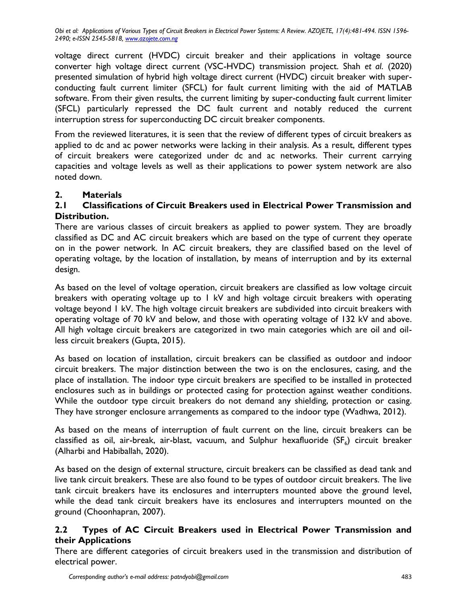voltage direct current (HVDC) circuit breaker and their applications in voltage source converter high voltage direct current (VSC-HVDC) transmission project. Shah *et al*. (2020) presented simulation of hybrid high voltage direct current (HVDC) circuit breaker with superconducting fault current limiter (SFCL) for fault current limiting with the aid of MATLAB software. From their given results, the current limiting by super-conducting fault current limiter (SFCL) particularly repressed the DC fault current and notably reduced the current interruption stress for superconducting DC circuit breaker components.

From the reviewed literatures, it is seen that the review of different types of circuit breakers as applied to dc and ac power networks were lacking in their analysis. As a result, different types of circuit breakers were categorized under dc and ac networks. Their current carrying capacities and voltage levels as well as their applications to power system network are also noted down.

# **2. Materials**

# **2.1 Classifications of Circuit Breakers used in Electrical Power Transmission and Distribution.**

There are various classes of circuit breakers as applied to power system. They are broadly classified as DC and AC circuit breakers which are based on the type of current they operate on in the power network. In AC circuit breakers, they are classified based on the level of operating voltage, by the location of installation, by means of interruption and by its external design.

As based on the level of voltage operation, circuit breakers are classified as low voltage circuit breakers with operating voltage up to 1 kV and high voltage circuit breakers with operating voltage beyond 1 kV. The high voltage circuit breakers are subdivided into circuit breakers with operating voltage of 70 kV and below, and those with operating voltage of 132 kV and above. All high voltage circuit breakers are categorized in two main categories which are oil and oilless circuit breakers (Gupta, 2015).

As based on location of installation, circuit breakers can be classified as outdoor and indoor circuit breakers. The major distinction between the two is on the enclosures, casing, and the place of installation. The indoor type circuit breakers are specified to be installed in protected enclosures such as in buildings or protected casing for protection against weather conditions. While the outdoor type circuit breakers do not demand any shielding, protection or casing. They have stronger enclosure arrangements as compared to the indoor type (Wadhwa, 2012).

As based on the means of interruption of fault current on the line, circuit breakers can be classified as oil, air-break, air-blast, vacuum, and Sulphur hexafluoride (SF $_{6}$ ) circuit breaker (Alharbi and Habiballah, 2020).

As based on the design of external structure, circuit breakers can be classified as dead tank and live tank circuit breakers. These are also found to be types of outdoor circuit breakers. The live tank circuit breakers have its enclosures and interrupters mounted above the ground level, while the dead tank circuit breakers have its enclosures and interrupters mounted on the ground (Choonhapran, 2007).

# **2.2 Types of AC Circuit Breakers used in Electrical Power Transmission and their Applications**

There are different categories of circuit breakers used in the transmission and distribution of electrical power.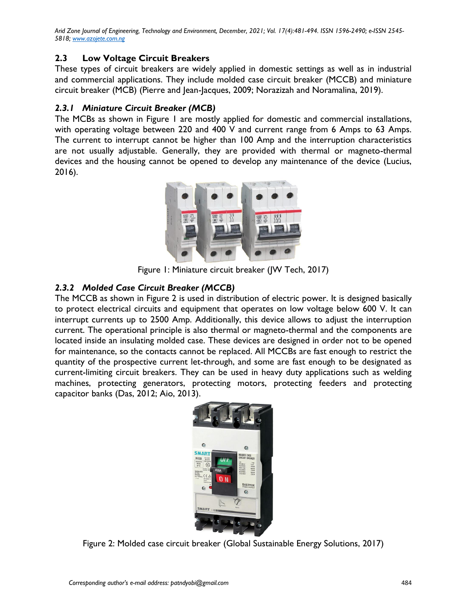### **2.3 Low Voltage Circuit Breakers**

These types of circuit breakers are widely applied in domestic settings as well as in industrial and commercial applications. They include molded case circuit breaker (MCCB) and miniature circuit breaker (MCB) (Pierre and Jean-Jacques, 2009; Norazizah and Noramalina, 2019).

#### *2.3.1 Miniature Circuit Breaker (MCB)*

The MCBs as shown in Figure 1 are mostly applied for domestic and commercial installations, with operating voltage between 220 and 400 V and current range from 6 Amps to 63 Amps. The current to interrupt cannot be higher than 100 Amp and the interruption characteristics are not usually adjustable. Generally, they are provided with thermal or magneto-thermal devices and the housing cannot be opened to develop any maintenance of the device (Lucius, 2016).



Figure 1: Miniature circuit breaker (JW Tech, 2017)

### *2.3.2 Molded Case Circuit Breaker (MCCB)*

The MCCB as shown in Figure 2 is used in distribution of electric power. It is designed basically to protect electrical circuits and equipment that operates on low voltage below 600 V. It can interrupt currents up to 2500 Amp. Additionally, this device allows to adjust the interruption current. The operational principle is also thermal or magneto-thermal and the components are located inside an insulating molded case. These devices are designed in order not to be opened for maintenance, so the contacts cannot be replaced. All MCCBs are fast enough to restrict the quantity of the prospective current let-through, and some are fast enough to be designated as current-limiting circuit breakers. They can be used in heavy duty applications such as welding machines, protecting generators, protecting motors, protecting feeders and protecting capacitor banks (Das, 2012; Aio, 2013).



Figure 2: Molded case circuit breaker (Global Sustainable Energy Solutions, 2017)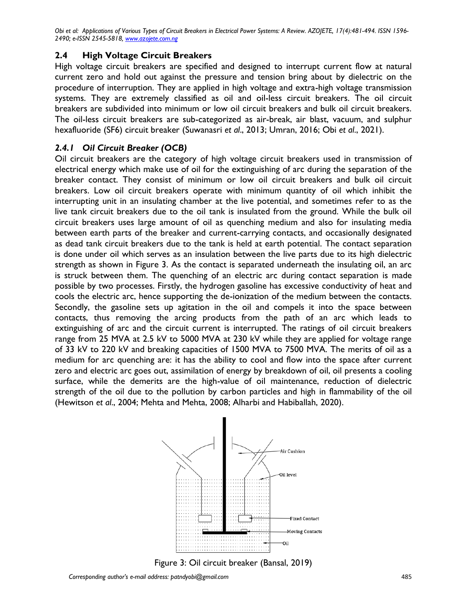### **2.4 High Voltage Circuit Breakers**

High voltage circuit breakers are specified and designed to interrupt current flow at natural current zero and hold out against the pressure and tension bring about by dielectric on the procedure of interruption. They are applied in high voltage and extra-high voltage transmission systems. They are extremely classified as oil and oil-less circuit breakers. The oil circuit breakers are subdivided into minimum or low oil circuit breakers and bulk oil circuit breakers. The oil-less circuit breakers are sub-categorized as air-break, air blast, vacuum, and sulphur hexafluoride (SF6) circuit breaker (Suwanasri *et al*., 2013; Umran, 2016; Obi *et al*., 2021).

# *2.4.1 Oil Circuit Breaker (OCB)*

Oil circuit breakers are the category of high voltage circuit breakers used in transmission of electrical energy which make use of oil for the extinguishing of arc during the separation of the breaker contact. They consist of minimum or low oil circuit breakers and bulk oil circuit breakers. Low oil circuit breakers operate with minimum quantity of oil which inhibit the interrupting unit in an insulating chamber at the live potential, and sometimes refer to as the live tank circuit breakers due to the oil tank is insulated from the ground. While the bulk oil circuit breakers uses large amount of oil as quenching medium and also for insulating media between earth parts of the breaker and current-carrying contacts, and occasionally designated as dead tank circuit breakers due to the tank is held at earth potential. The contact separation is done under oil which serves as an insulation between the live parts due to its high dielectric strength as shown in Figure 3. As the contact is separated underneath the insulating oil, an arc is struck between them. The quenching of an electric arc during contact separation is made possible by two processes. Firstly, the hydrogen gasoline has excessive conductivity of heat and cools the electric arc, hence supporting the de-ionization of the medium between the contacts. Secondly, the gasoline sets up agitation in the oil and compels it into the space between contacts, thus removing the arcing products from the path of an arc which leads to extinguishing of arc and the circuit current is interrupted. The ratings of oil circuit breakers range from 25 MVA at 2.5 kV to 5000 MVA at 230 kV while they are applied for voltage range of 33 kV to 220 kV and breaking capacities of 1500 MVA to 7500 MVA. The merits of oil as a medium for arc quenching are: it has the ability to cool and flow into the space after current zero and electric arc goes out, assimilation of energy by breakdown of oil, oil presents a cooling surface, while the demerits are the high-value of oil maintenance, reduction of dielectric strength of the oil due to the pollution by carbon particles and high in flammability of the oil (Hewitson *et al*., 2004; Mehta and Mehta, 2008; Alharbi and Habiballah, 2020).



Figure 3: Oil circuit breaker (Bansal, 2019)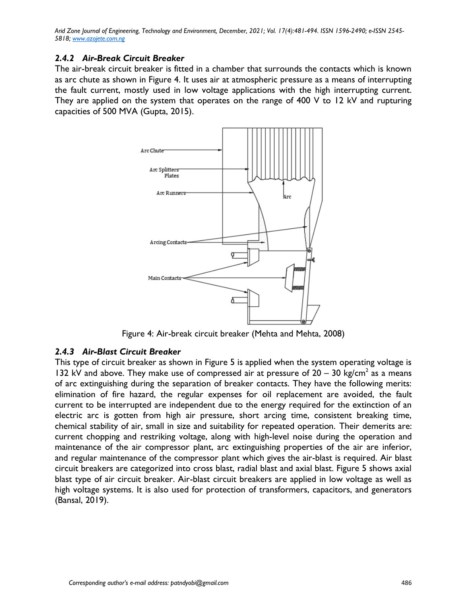#### *2.4.2 Air-Break Circuit Breaker*

The air-break circuit breaker is fitted in a chamber that surrounds the contacts which is known as arc chute as shown in Figure 4. It uses air at atmospheric pressure as a means of interrupting the fault current, mostly used in low voltage applications with the high interrupting current. They are applied on the system that operates on the range of 400 V to 12 kV and rupturing capacities of 500 MVA (Gupta, 2015).



Figure 4: Air-break circuit breaker (Mehta and Mehta, 2008)

#### *2.4.3 Air-Blast Circuit Breaker*

This type of circuit breaker as shown in Figure 5 is applied when the system operating voltage is 132 kV and above. They make use of compressed air at pressure of  $20 - 30$  kg/cm<sup>2</sup> as a means of arc extinguishing during the separation of breaker contacts. They have the following merits: elimination of fire hazard, the regular expenses for oil replacement are avoided, the fault current to be interrupted are independent due to the energy required for the extinction of an electric arc is gotten from high air pressure, short arcing time, consistent breaking time, chemical stability of air, small in size and suitability for repeated operation. Their demerits are: current chopping and restriking voltage, along with high-level noise during the operation and maintenance of the air compressor plant, arc extinguishing properties of the air are inferior, and regular maintenance of the compressor plant which gives the air-blast is required. Air blast circuit breakers are categorized into cross blast, radial blast and axial blast. Figure 5 shows axial blast type of air circuit breaker. Air-blast circuit breakers are applied in low voltage as well as high voltage systems. It is also used for protection of transformers, capacitors, and generators (Bansal, 2019).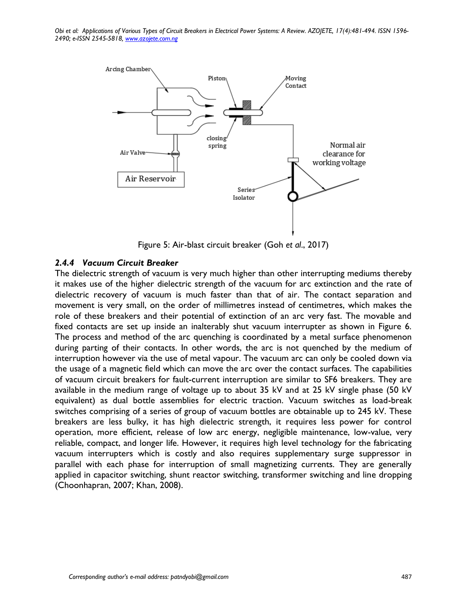

Figure 5: Air-blast circuit breaker (Goh *et al*., 2017)

#### *2.4.4 Vacuum Circuit Breaker*

The dielectric strength of vacuum is very much higher than other interrupting mediums thereby it makes use of the higher dielectric strength of the vacuum for arc extinction and the rate of dielectric recovery of vacuum is much faster than that of air. The contact separation and movement is very small, on the order of millimetres instead of centimetres, which makes the role of these breakers and their potential of extinction of an arc very fast. The movable and fixed contacts are set up inside an inalterably shut vacuum interrupter as shown in Figure 6. The process and method of the arc quenching is coordinated by a metal surface phenomenon during parting of their contacts. In other words, the arc is not quenched by the medium of interruption however via the use of metal vapour. The vacuum arc can only be cooled down via the usage of a magnetic field which can move the arc over the contact surfaces. The capabilities of vacuum circuit breakers for fault-current interruption are similar to SF6 breakers. They are available in the medium range of voltage up to about 35 kV and at 25 kV single phase (50 kV equivalent) as dual bottle assemblies for electric traction. Vacuum switches as load-break switches comprising of a series of group of vacuum bottles are obtainable up to 245 kV. These breakers are less bulky, it has high dielectric strength, it requires less power for control operation, more efficient, release of low arc energy, negligible maintenance, low-value, very reliable, compact, and longer life. However, it requires high level technology for the fabricating vacuum interrupters which is costly and also requires supplementary surge suppressor in parallel with each phase for interruption of small magnetizing currents. They are generally applied in capacitor switching, shunt reactor switching, transformer switching and line dropping (Choonhapran, 2007; Khan, 2008).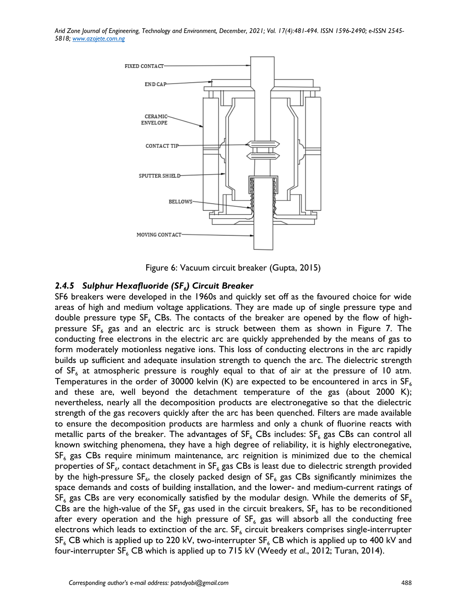

Figure 6: Vacuum circuit breaker (Gupta, 2015)

## *2.4.5 Sulphur Hexafluoride (SF<sup>6</sup> ) Circuit Breaker*

SF6 breakers were developed in the 1960s and quickly set off as the favoured choice for wide areas of high and medium voltage applications. They are made up of single pressure type and double pressure type  $SF_6$  CBs. The contacts of the breaker are opened by the flow of highpressure  $SF_6$  gas and an electric arc is struck between them as shown in Figure 7. The conducting free electrons in the electric arc are quickly apprehended by the means of gas to form moderately motionless negative ions. This loss of conducting electrons in the arc rapidly builds up sufficient and adequate insulation strength to quench the arc. The dielectric strength of  $SF<sub>6</sub>$  at atmospheric pressure is roughly equal to that of air at the pressure of 10 atm. Temperatures in the order of 30000 kelvin (K) are expected to be encountered in arcs in  $SF<sub>6</sub>$ and these are, well beyond the detachment temperature of the gas (about 2000 K); nevertheless, nearly all the decomposition products are electronegative so that the dielectric strength of the gas recovers quickly after the arc has been quenched. Filters are made available to ensure the decomposition products are harmless and only a chunk of fluorine reacts with metallic parts of the breaker. The advantages of  $SF_6$  CBs includes:  $SF_6$  gas CBs can control all known switching phenomena, they have a high degree of reliability, it is highly electronegative,  $SF<sub>6</sub>$  gas CBs require minimum maintenance, arc reignition is minimized due to the chemical properties of SF<sub>6</sub>, contact detachment in SF<sub>6</sub> gas CBs is least due to dielectric strength provided by the high-pressure SF $_{6}$ , the closely packed design of SF $_{6}$  gas CBs significantly minimizes the space demands and costs of building installation, and the lower- and medium-current ratings of  $SF<sub>6</sub>$  gas CBs are very economically satisfied by the modular design. While the demerits of SF<sub>6</sub> CBs are the high-value of the SF<sub>6</sub> gas used in the circuit breakers, SF<sub>6</sub> has to be reconditioned after every operation and the high pressure of  $SF_6$  gas will absorb all the conducting free electrons which leads to extinction of the arc.  $SF<sub>6</sub>$  circuit breakers comprises single-interrupter  $SF<sub>6</sub>$  CB which is applied up to 220 kV, two-interrupter  $SF<sub>6</sub>$  CB which is applied up to 400 kV and four-interrupter SF<sub>6</sub> CB which is applied up to 715 kV (Weedy *et al.*, 2012; Turan, 2014).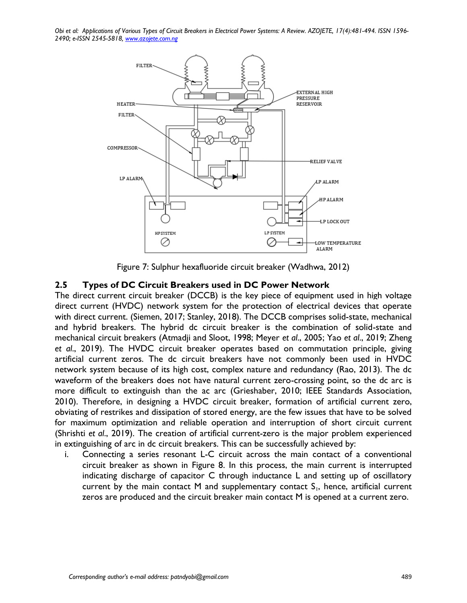

Figure 7: Sulphur hexafluoride circuit breaker (Wadhwa, 2012)

### **2.5 Types of DC Circuit Breakers used in DC Power Network**

The direct current circuit breaker (DCCB) is the key piece of equipment used in high voltage direct current (HVDC) network system for the protection of electrical devices that operate with direct current. (Siemen, 2017; Stanley, 2018). The DCCB comprises solid-state, mechanical and hybrid breakers. The hybrid dc circuit breaker is the combination of solid-state and mechanical circuit breakers (Atmadji and Sloot, 1998; Meyer *et al*., 2005; Yao *et al*., 2019; Zheng *et al*., 2019). The HVDC circuit breaker operates based on commutation principle, giving artificial current zeros. The dc circuit breakers have not commonly been used in HVDC network system because of its high cost, complex nature and redundancy (Rao, 2013). The dc waveform of the breakers does not have natural current zero-crossing point, so the dc arc is more difficult to extinguish than the ac arc (Grieshaber, 2010; IEEE Standards Association, 2010). Therefore, in designing a HVDC circuit breaker, formation of artificial current zero, obviating of restrikes and dissipation of stored energy, are the few issues that have to be solved for maximum optimization and reliable operation and interruption of short circuit current (Shrishti *et al*., 2019). The creation of artificial current-zero is the major problem experienced in extinguishing of arc in dc circuit breakers. This can be successfully achieved by:

i. Connecting a series resonant L-C circuit across the main contact of a conventional circuit breaker as shown in Figure 8. In this process, the main current is interrupted indicating discharge of capacitor C through inductance L and setting up of oscillatory current by the main contact M and supplementary contact  $S_1$ , hence, artificial current zeros are produced and the circuit breaker main contact M is opened at a current zero.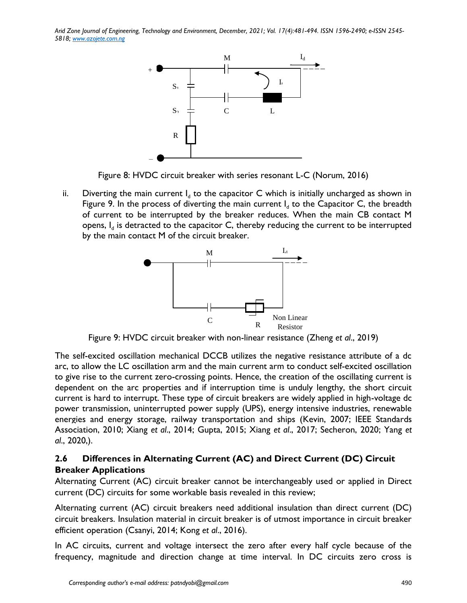

Figure 8: HVDC circuit breaker with series resonant L-C (Norum, 2016)

ii. Diverting the main current  $I_d$  to the capacitor C which is initially uncharged as shown in Figure 9. In the process of diverting the main current  $I_d$  to the Capacitor C, the breadth of current to be interrupted by the breaker reduces. When the main CB contact M opens,  $I_d$  is detracted to the capacitor  $C$ , thereby reducing the current to be interrupted by the main contact M of the circuit breaker.



Figure 9: HVDC circuit breaker with non-linear resistance (Zheng *et al*., 2019)

The self-excited oscillation mechanical DCCB utilizes the negative resistance attribute of a dc arc, to allow the LC oscillation arm and the main current arm to conduct self-excited oscillation to give rise to the current zero-crossing points. Hence, the creation of the oscillating current is dependent on the arc properties and if interruption time is unduly lengthy, the short circuit current is hard to interrupt. These type of circuit breakers are widely applied in high-voltage dc power transmission, uninterrupted power supply (UPS), energy intensive industries, renewable energies and energy storage, railway transportation and ships (Kevin, 2007; IEEE Standards Association, 2010; Xiang *et al*., 2014; Gupta, 2015; Xiang *et al*., 2017; Secheron, 2020; Yang *et al*., 2020,).

# **2.6 Differences in Alternating Current (AC) and Direct Current (DC) Circuit Breaker Applications**

Alternating Current (AC) circuit breaker cannot be interchangeably used or applied in Direct current (DC) circuits for some workable basis revealed in this review;

Alternating current (AC) circuit breakers need additional insulation than direct current (DC) circuit breakers. Insulation material in circuit breaker is of utmost importance in circuit breaker efficient operation (Csanyi, 2014; Kong *et al*., 2016).

In AC circuits, current and voltage intersect the zero after every half cycle because of the frequency, magnitude and direction change at time interval. In DC circuits zero cross is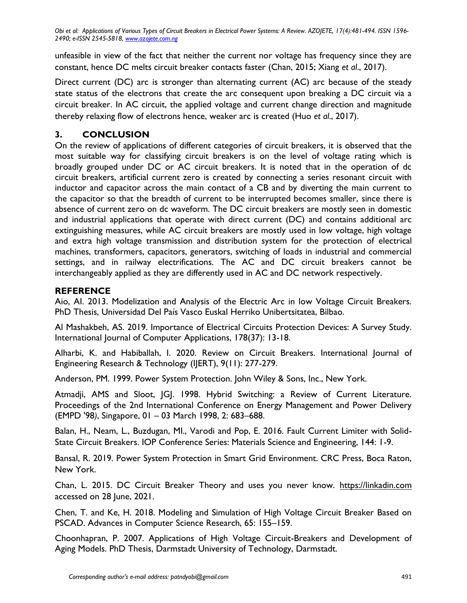unfeasible in view of the fact that neither the current nor voltage has frequency since they are constant, hence DC melts circuit breaker contacts faster (Chan, 2015; Xiang *et al*., 2017).

Direct current (DC) arc is stronger than alternating current (AC) arc because of the steady state status of the electrons that create the arc consequent upon breaking a DC circuit via a circuit breaker. In AC circuit, the applied voltage and current change direction and magnitude thereby relaxing flow of electrons hence, weaker arc is created (Huo *et al*., 2017).

# **3. CONCLUSION**

On the review of applications of different categories of circuit breakers, it is observed that the most suitable way for classifying circuit breakers is on the level of voltage rating which is broadly grouped under DC or AC circuit breakers. It is noted that in the operation of dc circuit breakers, artificial current zero is created by connecting a series resonant circuit with inductor and capacitor across the main contact of a CB and by diverting the main current to the capacitor so that the breadth of current to be interrupted becomes smaller, since there is absence of current zero on dc waveform. The DC circuit breakers are mostly seen in domestic and industrial applications that operate with direct current (DC) and contains additional arc extinguishing measures, while AC circuit breakers are mostly used in low voltage, high voltage and extra high voltage transmission and distribution system for the protection of electrical machines, transformers, capacitors, generators, switching of loads in industrial and commercial settings, and in railway electrifications. The AC and DC circuit breakers cannot be interchangeably applied as they are differently used in AC and DC network respectively.

# **REFERENCE**

Aio, AI. 2013. Modelization and Analysis of the Electric Arc in low Voltage Circuit Breakers. PhD Thesis, Universidad Del País Vasco Euskal Herriko Unibertsitatea, Bilbao.

Al Mashakbeh, AS. 2019. Importance of Electrical Circuits Protection Devices: A Survey Study. International Journal of Computer Applications, 178(37): 13-18.

Alharbi, K. and Habiballah, I. 2020. Review on Circuit Breakers. International Journal of Engineering Research & Technology (IJERT), 9(11): 277-279.

Anderson, PM. 1999. Power System Protection. John Wiley & Sons, Inc., New York.

Atmadji, AMS and Sloot, IGI. 1998. Hybrid Switching: a Review of Current Literature. Proceedings of the 2nd International Conference on Energy Management and Power Delivery (EMPD '98*)*, Singapore, 01 – 03 March 1998, 2: 683–688.

Balan, H., Neam, L., Buzdugan, MI., Varodi and Pop, E. 2016. Fault Current Limiter with Solid-State Circuit Breakers. IOP Conference Series: Materials Science and Engineering, 144: 1-9.

Bansal, R. 2019. Power System Protection in Smart Grid Environment. CRC Press, Boca Raton, New York.

Chan, L. 2015. DC Circuit Breaker Theory and uses you never know. [https://linkadin.com](https://linkadin.com/) accessed on 28 June, 2021.

Chen, T. and Ke, H. 2018. Modeling and Simulation of High Voltage Circuit Breaker Based on PSCAD. Advances in Computer Science Research, 65: 155–159.

Choonhapran, P. 2007. Applications of High Voltage Circuit-Breakers and Development of Aging Models. PhD Thesis, Darmstadt University of Technology, Darmstadt.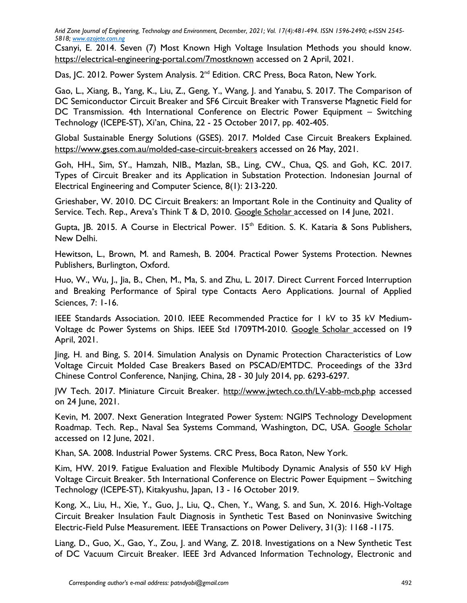Csanyi, E. 2014. Seven (7) Most Known High Voltage Insulation Methods you should know. <https://electrical-engineering-portal.com/7mostknown> accessed on 2 April, 2021.

Das, IC. 2012. Power System Analysis. 2<sup>nd</sup> Edition. CRC Press, Boca Raton, New York.

Gao, L., Xiang, B., Yang, K., Liu, Z., Geng, Y., Wang, J. and Yanabu, S. 2017. The Comparison of DC Semiconductor Circuit Breaker and SF6 Circuit Breaker with Transverse Magnetic Field for DC Transmission. 4th International Conference on Electric Power Equipment – Switching Technology (ICEPE-ST), Xi'an, China, 22 - 25 October 2017, pp. 402-405.

Global Sustainable Energy Solutions (GSES). 2017. Molded Case Circuit Breakers Explained. <https://www.gses.com.au/molded-case-circuit-breakers> accessed on 26 May, 2021.

Goh, HH., Sim, SY., Hamzah, NIB., Mazlan, SB., Ling, CW., Chua, QS. and Goh, KC. 2017. Types of Circuit Breaker and its Application in Substation Protection. Indonesian Journal of Electrical Engineering and Computer Science, 8(1): 213-220.

Grieshaber, W. 2010. DC Circuit Breakers: an Important Role in the Continuity and Quality of Service. Tech. Rep., Areva's Think T & D, 2010. [Google Scholar](https://scholar.google.com/scholar_lookup?title=Dc%20circuit%20breakers:%20an%20important%20role%20in%20the%20continuity%20and%20quality%20of%20service&author=W.%20Grieshaber&publication_year=2010) accessed on 14 June, 2021.

Gupta,  $|B|$ . 2015. A Course in Electrical Power.  $15<sup>th</sup>$  Edition. S. K. Kataria & Sons Publishers, New Delhi.

Hewitson, L., Brown, M. and Ramesh, B. 2004. Practical Power Systems Protection. Newnes Publishers, Burlington, Oxford.

Huo, W., Wu, J., Jia, B., Chen, M., Ma, S. and Zhu, L. 2017. Direct Current Forced Interruption and Breaking Performance of Spiral type Contacts Aero Applications. Journal of Applied Sciences, 7: 1-16.

IEEE Standards Association. 2010. IEEE Recommended Practice for 1 kV to 35 kV Medium-Voltage dc Power Systems on Ships. IEEE Std 1709TM-2010. [Google Scholar](https://scholar.google.com/scholar_lookup?title=IEEE%20recommended%20practice%20for%201 kV%20to%2035 kV%20medium-voltage%20dc%20power%20systems%20on%20ships) accessed on 19 April, 2021.

Jing, H. and Bing, S. 2014. Simulation Analysis on Dynamic Protection Characteristics of Low Voltage Circuit Molded Case Breakers Based on PSCAD/EMTDC. Proceedings of the 33rd Chinese Control Conference, Nanjing, China, 28 - 30 July 2014, pp. 6293-6297.

JW Tech. 2017. Miniature Circuit Breaker.<http://www.jwtech.co.th/LV-abb-mcb.php> accessed on 24 June, 2021.

Kevin, M. 2007. Next Generation Integrated Power System: NGIPS Technology Development Roadmap. Tech. Rep., Naval Sea Systems Command, Washington, DC, USA. [Google Scholar](https://scholar.google.com/scholar_lookup?title=Next%20generation%20integrated%20power%20system:%20NGIPS%20technology%20development%20roadmap&publication_year=2007) accessed on 12 June, 2021.

Khan, SA. 2008. Industrial Power Systems. CRC Press, Boca Raton, New York.

Kim, HW. 2019. Fatigue Evaluation and Flexible Multibody Dynamic Analysis of 550 kV High Voltage Circuit Breaker. 5th International Conference on Electric Power Equipment – Switching Technology (ICEPE-ST), Kitakyushu, Japan, 13 - 16 October 2019.

Kong, X., Liu, H., Xie, Y., Guo, J., Liu, Q., Chen, Y., Wang, S. and Sun, X. 2016. High-Voltage Circuit Breaker Insulation Fault Diagnosis in Synthetic Test Based on Noninvasive Switching Electric-Field Pulse Measurement. IEEE Transactions on Power Delivery, 31(3): 1168 -1175.

Liang, D., Guo, X., Gao, Y., Zou, J. and Wang, Z. 2018. Investigations on a New Synthetic Test of DC Vacuum Circuit Breaker. IEEE 3rd Advanced Information Technology, Electronic and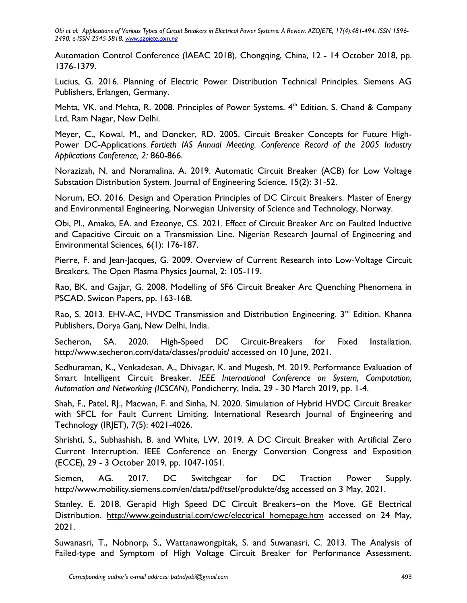Automation Control Conference (IAEAC 2018), Chongqing, China, 12 - 14 October 2018, pp. 1376-1379.

Lucius, G. 2016. Planning of Electric Power Distribution Technical Principles. Siemens AG Publishers, Erlangen, Germany.

Mehta, VK. and Mehta, R. 2008. Principles of Power Systems. 4<sup>th</sup> Edition. S. Chand & Company Ltd, Ram Nagar, New Delhi.

Meyer, C., Kowal, M., and Doncker, RD. 2005. Circuit Breaker Concepts for Future High-Power DC-Applications. *Fortieth IAS Annual Meeting. Conference Record of the 2005 Industry Applications Conference, 2:* 860-866.

Norazizah, N. and Noramalina, A. 2019. Automatic Circuit Breaker (ACB) for Low Voltage Substation Distribution System. Journal of Engineering Science, 15(2): 31-52.

Norum, EO. 2016. Design and Operation Principles of DC Circuit Breakers. Master of Energy and Environmental Engineering, Norwegian University of Science and Technology, Norway.

Obi, PI., Amako, EA. and Ezeonye, CS. 2021. Effect of Circuit Breaker Arc on Faulted Inductive and Capacitive Circuit on a Transmission Line. Nigerian Research Journal of Engineering and Environmental Sciences, 6(1): 176-187.

Pierre, F. and Jean-Jacques, G. 2009. Overview of Current Research into Low-Voltage Circuit Breakers. The Open Plasma Physics Journal, 2: 105-119.

Rao, BK. and Gajjar, G. 2008. Modelling of SF6 Circuit Breaker Arc Quenching Phenomena in PSCAD. Swicon Papers, pp. 163-168.

Rao, S. 2013. EHV-AC, HVDC Transmission and Distribution Engineering. 3<sup>rd</sup> Edition. Khanna Publishers, Dorya Ganj, New Delhi, India.

Secheron, SA. 2020. High-Speed DC Circuit-Breakers for Fixed Installation. <http://www.secheron.com/data/classes/produit/>accessed on 10 June, 2021.

Sedhuraman, K., Venkadesan, A., Dhivagar, K. and Mugesh, M. 2019. Performance Evaluation of Smart Intelligent Circuit Breaker. *IEEE International Conference on System, Computation, Automation and Networking (ICSCAN),* Pondicherry, India, 29 - 30 March 2019, pp. 1-4.

Shah, F., Patel, RJ., Macwan, F. and Sinha, N. 2020. Simulation of Hybrid HVDC Circuit Breaker with SFCL for Fault Current Limiting. International Research Journal of Engineering and Technology (IRJET), 7(5): 4021-4026.

Shrishti, S., Subhashish, B. and White, LW. 2019. A DC Circuit Breaker with Artificial Zero Current Interruption. IEEE Conference on Energy Conversion Congress and Exposition (ECCE), 29 - 3 October 2019, pp. 1047-1051.

Siemen, AG. 2017. DC Switchgear for DC Traction Power Supply. <http://www.mobility.siemens.com/en/data/pdf/tsel/produkte/dsg> accessed on 3 May, 2021.

Stanley, E. 2018. Gerapid High Speed DC Circuit Breakers–on the Move. GE Electrical Distribution. [http://www.geindustrial.com/cwc/electrical\\_homepage.htm](http://www.geindustrial.com/cwc/electrical_homepage.htm) accessed on 24 May, 2021.

Suwanasri, T., Nobnorp, S., Wattanawongpitak, S. and Suwanasri, C. 2013. The Analysis of Failed-type and Symptom of High Voltage Circuit Breaker for Performance Assessment.